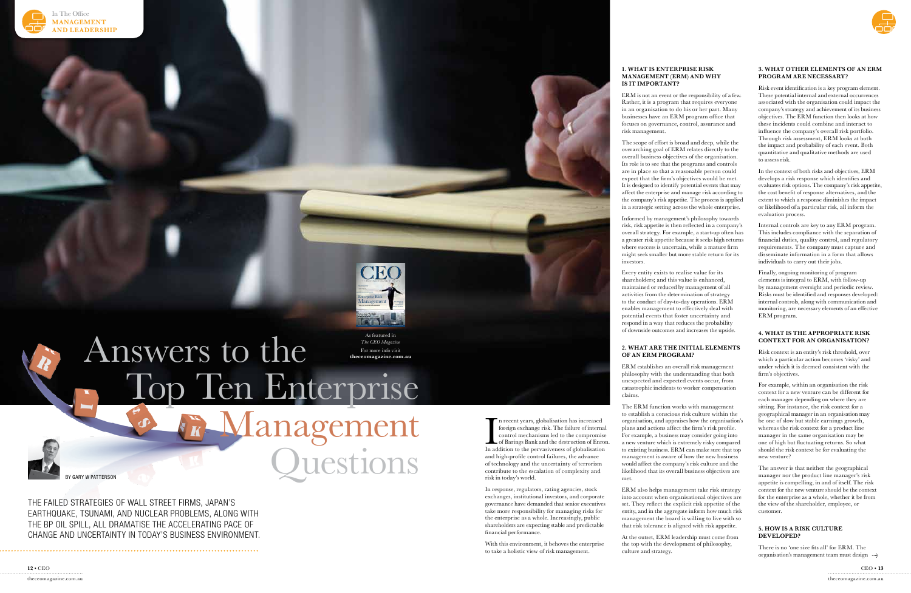

#### **3. What other elements of an ERM program are necessary?**

Risk event identification is a key program element. These potential internal and external occurrences associated with the organisation could impact the company's strategy and achievement of its business objectives. The ERM function then looks at how these incidents could combine and interact to influence the company's overall risk portfolio. Through risk assessment, ERM looks at both the impact and probability of each event. Both quantitative and qualitative methods are used to assess risk.

In the context of both risks and objectives, ERM develops a risk response which identifies and evaluates risk options. The company's risk appetite, the cost benefit of response alternatives, and the extent to which a response diminishes the impact or likelihood of a particular risk, all inform the evaluation process.

Internal controls are key to any ERM program. This includes compliance with the separation of financial duties, quality control, and regulatory requirements. The company must capture and disseminate information in a form that allows individuals to carry out their jobs.

Finally, ongoing monitoring of program elements is integral to ERM, with follow-up by management oversight and periodic review. Risks must be identified and responses developed: internal controls, along with communication and monitoring, are necessary elements of an effective ERM program.

#### **4. What is the appropriate risk context for an organisation?**

In recent years, globalisation has increased<br>foreign exchange risk. The failure of internal<br>control mechanisms led to the compromise<br>of Barings Bank and the destruction of Enroi<br>In addition to the pervasiveness of globalis n recent years, globalisation has increased foreign exchange risk. The failure of internal control mechanisms led to the compromise of Barings Bank and the destruction of Enron. and high-profile control failures, the advance of technology and the uncertainty of terrorism contribute to the escalation of complexity and risk in today's world.

Risk context is an entity's risk threshold, over which a particular action becomes 'risky' and under which it is deemed consistent with the firm's objectives.

For example, within an organisation the risk context for a new venture can be different for each manager depending on where they are sitting. For instance, the risk context for a geographical manager in an organisation may be one of slow but stable earnings growth, whereas the risk context for a product line manager in the same organisation may be one of high but fluctuating returns. So what should the risk context be for evaluating the new venture?

The answer is that neither the geographical manager nor the product line manager's risk appetite is compelling, in and of itself. The risk context for the new venture should be the context for the enterprise as a whole, whether it be from the view of the shareholder, employee, or customer.

#### **5. How is a risk culture developed?**

There is no 'one size fits all' for ERM. The organisation's management team must design

The failed strategies of Wall Street firms, Japan's earthquake, tsunami, and nuclear problems, along with the BP oil spill, all dramatise the accelerating pace of change and uncertainty in today's business environment.

#### Webjet Founder Founder David Clarke Party Chairman Rick Swisse Vitamins' Chairman Rick Swisse Vitamins' Center Enterprise Risk Management YOUR TOP TEN QUESTIONS ANSWERED **SMARTPHONE FACE-OFF YOUR COMPANY BlackBerry Torch 9800 v. iPhone 4**

In response, regulators, rating agencies, stock exchanges, institutional investors, and corporate governance have demanded that senior executives take more responsibility for managing risks for the enterprise as a whole. Increasingly, public shareholders are expecting stable and predictable financial performance.

With this environment, it behoves the enterprise to take a holistic view of risk management.

#### **1. What is enterprise risk management (ERM) and why is it important?**

ERM is not an event or the responsibility of a few. Rather, it is a program that requires everyone in an organisation to do his or her part. Many businesses have an ERM program office that focuses on governance, control, assurance and

risk management.

The scope of effort is broad and deep, while the overarching goal of ERM relates directly to the overall business objectives of the organisation. Its role is to see that the programs and controls are in place so that a reasonable person could expect that the firm's objectives would be met. It is designed to identify potential events that may affect the enterprise and manage risk according to the company's risk appetite. The process is applied in a strategic setting across the whole enterprise.

Informed by management's philosophy towards risk, risk appetite is then reflected in a company's overall strategy. For example, a start-up often has a greater risk appetite because it seeks high returns where success is uncertain, while a mature firm might seek smaller but more stable return for its

## Top Ten Enterprise Management Answers to the As featured in *The CEO Magazine* For more info visit **[theceomagazine.com.au](http://www.theceomagazine.com.au/)**

investors.

Every entity exists to realise value for its shareholders; and this value is enhanced, maintained or reduced by management of all activities from the determination of strategy to the conduct of day-to-day operations. ERM enables management to effectively deal with potential events that foster uncertainty and respond in a way that reduces the probability of downside outcomes and increases the upside.

#### **2. What are the initial elements of an ERM program?**

ERM establishes an overall risk management philosophy with the understanding that both unexpected and expected events occur, from catastrophic incidents to worker compensation claims.

The ERM function works with management to establish a conscious risk culture within the organisation, and appraises how the organisation's plans and actions affect the firm's risk profile. For example, a business may consider going into a new venture which is extremely risky compared to existing business. ERM can make sure that top management is aware of how the new business would affect the company's risk culture and the likelihood that its overall business objectives are met.

ERM also helps management take risk strategy into account when organisational objectives are set. They reflect the explicit risk appetite of the entity, and in the aggregate inform how much risk management the board is willing to live with so that risk tolerance is aligned with risk appetite.

At the outset, ERM leadership must come from the top with the development of philosophy, culture and strategy.

BY GARY WATERSON QUESTIONS